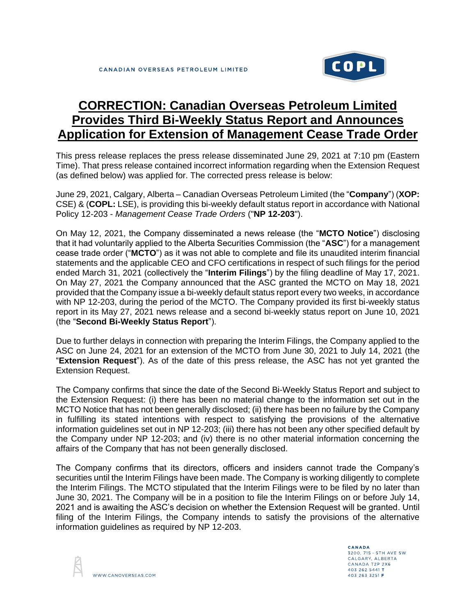

## **CORRECTION: Canadian Overseas Petroleum Limited Provides Third Bi-Weekly Status Report and Announces Application for Extension of Management Cease Trade Order**

This press release replaces the press release disseminated June 29, 2021 at 7:10 pm (Eastern Time). That press release contained incorrect information regarding when the Extension Request (as defined below) was applied for. The corrected press release is below:

June 29, 2021, Calgary, Alberta – Canadian Overseas Petroleum Limited (the "**Company**") (**XOP:** CSE) & (**COPL:** LSE), is providing this bi-weekly default status report in accordance with National Policy 12-203 - *Management Cease Trade Orders* ("**NP 12-203**").

On May 12, 2021, the Company disseminated a news release (the "**MCTO Notice**") disclosing that it had voluntarily applied to the Alberta Securities Commission (the "**ASC**") for a management cease trade order ("**MCTO**") as it was not able to complete and file its unaudited interim financial statements and the applicable CEO and CFO certifications in respect of such filings for the period ended March 31, 2021 (collectively the "**Interim Filings**") by the filing deadline of May 17, 2021. On May 27, 2021 the Company announced that the ASC granted the MCTO on May 18, 2021 provided that the Company issue a bi-weekly default status report every two weeks, in accordance with NP 12-203, during the period of the MCTO. The Company provided its first bi-weekly status report in its May 27, 2021 news release and a second bi-weekly status report on June 10, 2021 (the "**Second Bi-Weekly Status Report**").

Due to further delays in connection with preparing the Interim Filings, the Company applied to the ASC on June 24, 2021 for an extension of the MCTO from June 30, 2021 to July 14, 2021 (the "**Extension Request**"). As of the date of this press release, the ASC has not yet granted the Extension Request.

The Company confirms that since the date of the Second Bi-Weekly Status Report and subject to the Extension Request: (i) there has been no material change to the information set out in the MCTO Notice that has not been generally disclosed; (ii) there has been no failure by the Company in fulfilling its stated intentions with respect to satisfying the provisions of the alternative information guidelines set out in NP 12-203; (iii) there has not been any other specified default by the Company under NP 12-203; and (iv) there is no other material information concerning the affairs of the Company that has not been generally disclosed.

The Company confirms that its directors, officers and insiders cannot trade the Company's securities until the Interim Filings have been made. The Company is working diligently to complete the Interim Filings. The MCTO stipulated that the Interim Filings were to be filed by no later than June 30, 2021. The Company will be in a position to file the Interim Filings on or before July 14, 2021 and is awaiting the ASC's decision on whether the Extension Request will be granted. Until filing of the Interim Filings, the Company intends to satisfy the provisions of the alternative information guidelines as required by NP 12-203.



CANADA 3200, 715 - 5TH AVE SW CALGARY, ALBERTA CANADA T2P 2X6 403 262 5441 T 403 263 3251 F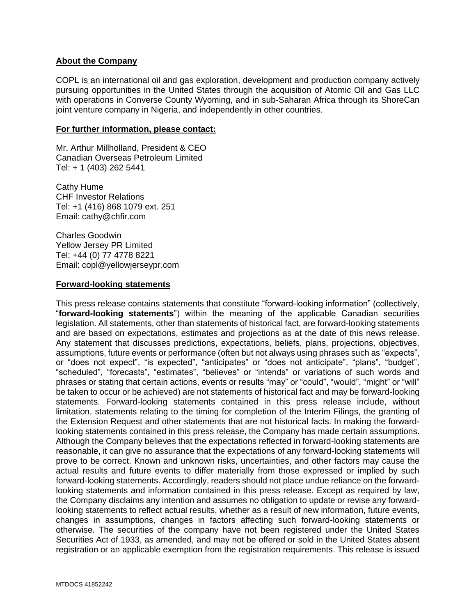## **About the Company**

COPL is an international oil and gas exploration, development and production company actively pursuing opportunities in the United States through the acquisition of Atomic Oil and Gas LLC with operations in Converse County Wyoming, and in sub-Saharan Africa through its ShoreCan joint venture company in Nigeria, and independently in other countries.

## **For further information, please contact:**

Mr. Arthur Millholland, President & CEO Canadian Overseas Petroleum Limited Tel: + 1 (403) 262 5441

Cathy Hume CHF Investor Relations Tel: +1 (416) 868 1079 ext. 251 Email: cathy@chfir.com

Charles Goodwin Yellow Jersey PR Limited Tel: +44 (0) 77 4778 8221 Email: copl@yellowjerseypr.com

## **Forward-looking statements**

This press release contains statements that constitute "forward-looking information" (collectively, "**forward-looking statements**") within the meaning of the applicable Canadian securities legislation. All statements, other than statements of historical fact, are forward-looking statements and are based on expectations, estimates and projections as at the date of this news release. Any statement that discusses predictions, expectations, beliefs, plans, projections, objectives, assumptions, future events or performance (often but not always using phrases such as "expects", or "does not expect", "is expected", "anticipates" or "does not anticipate", "plans", "budget", "scheduled", "forecasts", "estimates", "believes" or "intends" or variations of such words and phrases or stating that certain actions, events or results "may" or "could", "would", "might" or "will" be taken to occur or be achieved) are not statements of historical fact and may be forward-looking statements. Forward-looking statements contained in this press release include, without limitation, statements relating to the timing for completion of the Interim Filings, the granting of the Extension Request and other statements that are not historical facts. In making the forwardlooking statements contained in this press release, the Company has made certain assumptions. Although the Company believes that the expectations reflected in forward-looking statements are reasonable, it can give no assurance that the expectations of any forward-looking statements will prove to be correct. Known and unknown risks, uncertainties, and other factors may cause the actual results and future events to differ materially from those expressed or implied by such forward-looking statements. Accordingly, readers should not place undue reliance on the forwardlooking statements and information contained in this press release. Except as required by law, the Company disclaims any intention and assumes no obligation to update or revise any forwardlooking statements to reflect actual results, whether as a result of new information, future events, changes in assumptions, changes in factors affecting such forward-looking statements or otherwise. The securities of the company have not been registered under the United States Securities Act of 1933, as amended, and may not be offered or sold in the United States absent registration or an applicable exemption from the registration requirements. This release is issued